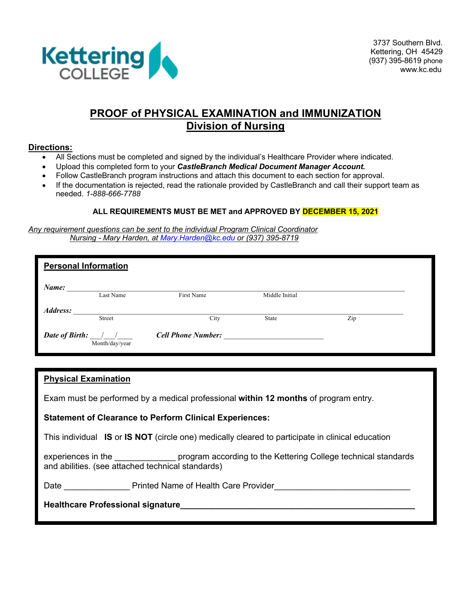

3737 Southern Blvd. Kettering, OH 45429 (937) 395-8619 phone www.kc.edu

### **PROOF of PHYSICAL EXAMINATION and IMMUNIZATION Division of Nursing**

### **Directions:**

- All Sections must be completed and signed by the individual's Healthcare Provider where indicated.
- Upload this completed form to your *CastleBranch Medical Document Manager Account.*
- Follow CastleBranch program instructions and attach this document to each section for approval.
- If the documentation is rejected, read the rationale provided by CastleBranch and call their support team as needed. *1-888-666-7788*

### **ALL REQUIREMENTS MUST BE MET and APPROVED BY DECEMBER 15, 2021**

*Any requirement questions can be sent to the individual Program Clinical Coordinator Nursing - Mary Harden, at Mary.Harden@kc.edu or (937) 395-8719*

|                | <b>Personal Information</b>                                                                                                                                                                                                                                                                                                           |                           |                |     |  |
|----------------|---------------------------------------------------------------------------------------------------------------------------------------------------------------------------------------------------------------------------------------------------------------------------------------------------------------------------------------|---------------------------|----------------|-----|--|
| Name:          | Last Name                                                                                                                                                                                                                                                                                                                             | First Name                | Middle Initial |     |  |
| Address:       | Street                                                                                                                                                                                                                                                                                                                                | City                      | State          | Zip |  |
| Date of Birth: | $\frac{1}{2}$ $\frac{1}{2}$ $\frac{1}{2}$ $\frac{1}{2}$ $\frac{1}{2}$ $\frac{1}{2}$ $\frac{1}{2}$ $\frac{1}{2}$ $\frac{1}{2}$ $\frac{1}{2}$ $\frac{1}{2}$ $\frac{1}{2}$ $\frac{1}{2}$ $\frac{1}{2}$ $\frac{1}{2}$ $\frac{1}{2}$ $\frac{1}{2}$ $\frac{1}{2}$ $\frac{1}{2}$ $\frac{1}{2}$ $\frac{1}{2}$ $\frac{1}{2}$<br>Month/day/year | <b>Cell Phone Number:</b> |                |     |  |

| <b>Physical Examination</b>                                                                                                                                |  |  |
|------------------------------------------------------------------------------------------------------------------------------------------------------------|--|--|
| Exam must be performed by a medical professional within 12 months of program entry.                                                                        |  |  |
| <b>Statement of Clearance to Perform Clinical Experiences:</b>                                                                                             |  |  |
| This individual IS or IS NOT (circle one) medically cleared to participate in clinical education                                                           |  |  |
| experiences in the ___________________ program according to the Kettering College technical standards<br>and abilities. (see attached technical standards) |  |  |
| Date <u>__________</u> Printed Name of Health Care Provider___________________________                                                                     |  |  |
|                                                                                                                                                            |  |  |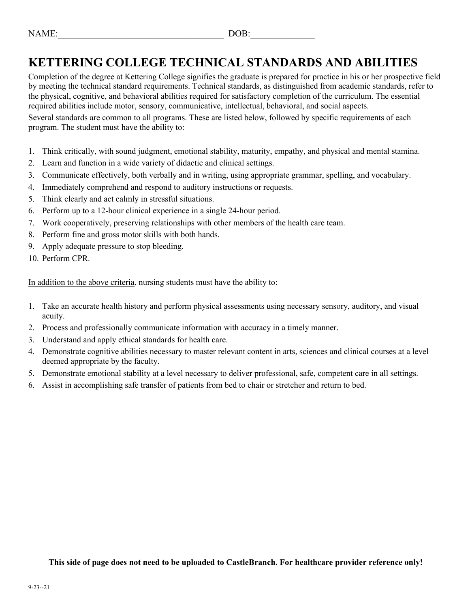## **KETTERING COLLEGE TECHNICAL STANDARDS AND ABILITIES**

Completion of the degree at Kettering College signifies the graduate is prepared for practice in his or her prospective field by meeting the technical standard requirements. Technical standards, as distinguished from academic standards, refer to the physical, cognitive, and behavioral abilities required for satisfactory completion of the curriculum. The essential required abilities include motor, sensory, communicative, intellectual, behavioral, and social aspects.

Several standards are common to all programs. These are listed below, followed by specific requirements of each program. The student must have the ability to:

- 1. Think critically, with sound judgment, emotional stability, maturity, empathy, and physical and mental stamina.
- 2. Learn and function in a wide variety of didactic and clinical settings.
- 3. Communicate effectively, both verbally and in writing, using appropriate grammar, spelling, and vocabulary.
- 4. Immediately comprehend and respond to auditory instructions or requests.
- 5. Think clearly and act calmly in stressful situations.
- 6. Perform up to a 12-hour clinical experience in a single 24-hour period.
- 7. Work cooperatively, preserving relationships with other members of the health care team.
- 8. Perform fine and gross motor skills with both hands.
- 9. Apply adequate pressure to stop bleeding.
- 10. Perform CPR.

In addition to the above criteria, nursing students must have the ability to:

- 1. Take an accurate health history and perform physical assessments using necessary sensory, auditory, and visual acuity.
- 2. Process and professionally communicate information with accuracy in a timely manner.
- 3. Understand and apply ethical standards for health care.
- 4. Demonstrate cognitive abilities necessary to master relevant content in arts, sciences and clinical courses at a level deemed appropriate by the faculty.
- 5. Demonstrate emotional stability at a level necessary to deliver professional, safe, competent care in all settings.
- 6. Assist in accomplishing safe transfer of patients from bed to chair or stretcher and return to bed.

**This side of page does not need to be uploaded to CastleBranch. For healthcare provider reference only!**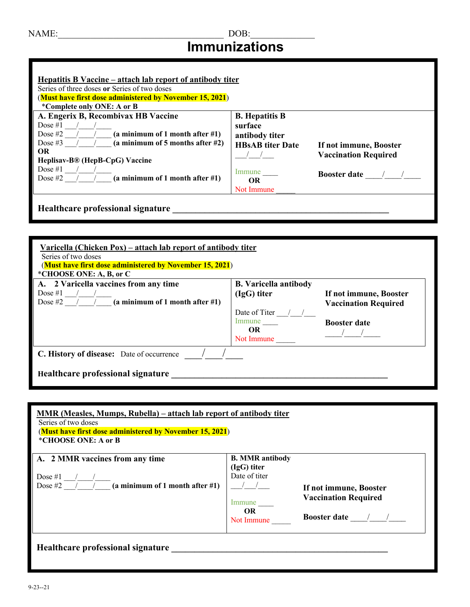## NAME:\_\_\_\_\_\_\_\_\_\_\_\_\_\_\_\_\_\_\_\_\_\_\_\_\_\_\_\_\_\_\_\_\_\_\_\_ DOB:\_\_\_\_\_\_\_\_\_\_\_\_\_\_ **Immunizations**

| Hepatitis B Vaccine – attach lab report of antibody titer<br>Series of three doses or Series of two doses                                                                                              |                                                                               |                                                       |
|--------------------------------------------------------------------------------------------------------------------------------------------------------------------------------------------------------|-------------------------------------------------------------------------------|-------------------------------------------------------|
| (Must have first dose administered by November 15, 2021)                                                                                                                                               |                                                                               |                                                       |
| *Complete only ONE: A or B                                                                                                                                                                             |                                                                               |                                                       |
| A. Engerix B, Recombivax HB Vaccine<br>Dose $#1$<br>Dose #2 $/$ $/$ (a minimum of 1 month after #1)<br>Dose #3 $/$ $/$ (a minimum of 5 months after #2)<br><b>OR</b><br>Heplisav-B® (HepB-CpG) Vaccine | <b>B.</b> Hepatitis B<br>surface<br>antibody titer<br><b>HBsAB</b> titer Date | If not immune, Booster<br><b>Vaccination Required</b> |
| Dose $#1$<br>Dose #2 $/$ $/$ (a minimum of 1 month after #1)                                                                                                                                           | Immune<br><b>OR</b><br>Not Immune                                             | <b>Booster date</b>                                   |

| Varicella (Chicken Pox) – attach lab report of antibody titer<br>Series of two doses<br>(Must have first dose administered by November 15, 2021)<br>*CHOOSE ONE: A, B, or C |                              |                             |  |  |
|-----------------------------------------------------------------------------------------------------------------------------------------------------------------------------|------------------------------|-----------------------------|--|--|
| A. 2 Varicella vaccines from any time                                                                                                                                       | <b>B.</b> Varicella antibody |                             |  |  |
| Dose $#1$                                                                                                                                                                   | (IgG) titer                  | If not immune, Booster      |  |  |
| Dose #2 $/$ $/$ (a minimum of 1 month after #1)                                                                                                                             |                              | <b>Vaccination Required</b> |  |  |
|                                                                                                                                                                             | Date of Titer                |                             |  |  |
|                                                                                                                                                                             | Immune                       | <b>Booster date</b>         |  |  |
|                                                                                                                                                                             | <b>OR</b>                    |                             |  |  |
|                                                                                                                                                                             | Not Immune                   |                             |  |  |
| C. History of disease: Date of occurrence                                                                                                                                   |                              |                             |  |  |
| Healthcare professional signature                                                                                                                                           |                              |                             |  |  |

| MMR (Measles, Mumps, Rubella) – attach lab report of antibody titer<br>Series of two doses<br>(Must have first dose administered by November 15, 2021)<br>*CHOOSE ONE: A or B |                                                        |                                                       |
|-------------------------------------------------------------------------------------------------------------------------------------------------------------------------------|--------------------------------------------------------|-------------------------------------------------------|
| A. 2 MMR vaccines from any time                                                                                                                                               | <b>B. MMR antibody</b><br>(IgG) titer<br>Date of titer |                                                       |
| Dose #2 $\overline{\qquad}$ / $\qquad$ (a minimum of 1 month after #1)                                                                                                        | $\frac{1}{2}$<br>Immune<br>OR.                         | If not immune, Booster<br><b>Vaccination Required</b> |
| Healthcare professional signature                                                                                                                                             | Not Immune                                             | Booster date $\frac{1}{\sqrt{1-\frac{1}{2}}}$         |